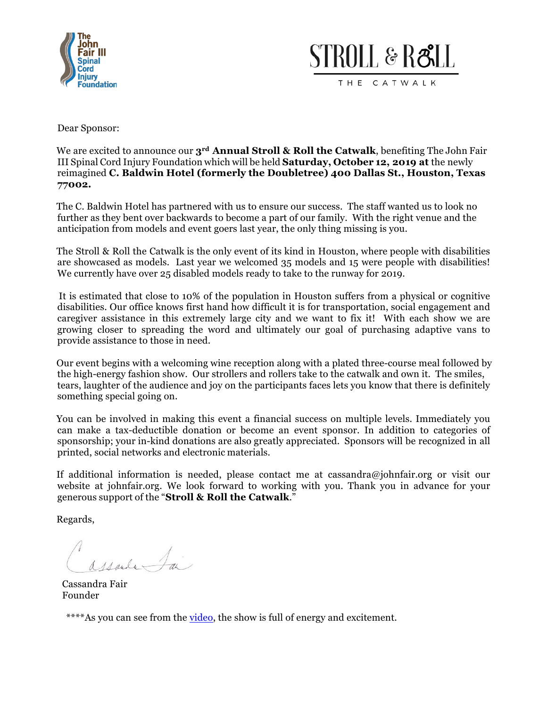



Dear Sponsor:

We are excited to announce our **3rd Annual Stroll & Roll the Catwalk**, benefiting The John Fair III Spinal Cord Injury Foundation which will be held **Saturday, October 12, 2019 at** the newly reimagined **C. Baldwin Hotel (formerly the Doubletree) 400 Dallas St., Houston, Texas 77002.**

The C. Baldwin Hotel has partnered with us to ensure our success. The staff wanted us to look no further as they bent over backwards to become a part of our family. With the right venue and the anticipation from models and event goers last year, the only thing missing is you.

The Stroll & Roll the Catwalk is the only event of its kind in Houston, where people with disabilities are showcased as models. Last year we welcomed 35 models and 15 were people with disabilities! We currently have over 25 disabled models ready to take to the runway for 2019.

It is estimated that close to 10% of the population in Houston suffers from a physical or cognitive disabilities. Our office knows first hand how difficult it is for transportation, social engagement and caregiver assistance in this extremely large city and we want to fix it! With each show we are growing closer to spreading the word and ultimately our goal of purchasing adaptive vans to provide assistance to those in need.

Our event begins with a welcoming wine reception along with a plated three-course meal followed by the high-energy fashion show. Our strollers and rollers take to the catwalk and own it. The smiles, tears, laughter of the audience and joy on the participants faces lets you know that there is definitely something special going on.

You can be involved in making this event a financial success on multiple levels. Immediately you can make a tax-deductible donation or become an event sponsor. In addition to categories of sponsorship; your in-kind donations are also greatly appreciated. Sponsors will be recognized in all printed, social networks and electronic materials.

If additional information is needed, please contact me at cassandra@johnfair.org or visit our website at johnfair.org. We look forward to working with you. Thank you in advance for your generous support of the "**Stroll & Roll the Catwalk**."

Regards,

assaule fai

Cassandra Fair Founder

\*\*\*\*As you can see from the video, the show is full of energy and excitement.